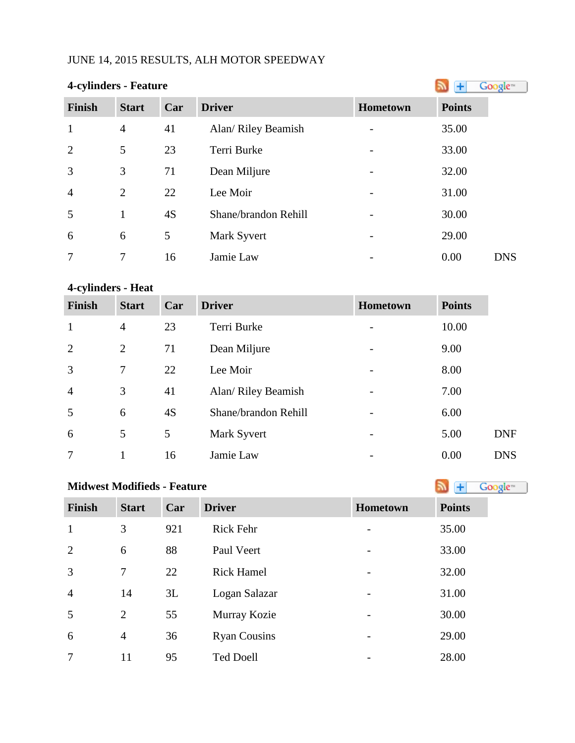# JUNE 14, 2015 RESULTS, ALH MOTOR SPEEDWAY

|                | 4-cylinders - Feature |     |                      |                |               |            |
|----------------|-----------------------|-----|----------------------|----------------|---------------|------------|
| <b>Finish</b>  | <b>Start</b>          | Car | <b>Driver</b>        | Hometown       | <b>Points</b> |            |
| $\mathbf{1}$   | $\overline{4}$        | 41  | Alan/ Riley Beamish  |                | 35.00         |            |
| $\overline{2}$ | 5                     | 23  | Terri Burke          | $\overline{a}$ | 33.00         |            |
| 3              | 3                     | 71  | Dean Miljure         |                | 32.00         |            |
| $\overline{4}$ | $\overline{2}$        | 22  | Lee Moir             |                | 31.00         |            |
| 5              | 1                     | 4S  | Shane/brandon Rehill |                | 30.00         |            |
| 6              | 6                     | 5   | Mark Syvert          |                | 29.00         |            |
| 7              | 7                     | 16  | Jamie Law            |                | 0.00          | <b>DNS</b> |

# **4-cylinders - Heat**

| <b>Finish</b>  | <b>Start</b>   | Car | <b>Driver</b>        | <b>Hometown</b> | <b>Points</b> |            |
|----------------|----------------|-----|----------------------|-----------------|---------------|------------|
| $\mathbf{1}$   | $\overline{4}$ | 23  | Terri Burke          |                 | 10.00         |            |
| $\overline{2}$ | $\overline{2}$ | 71  | Dean Miljure         |                 | 9.00          |            |
| 3              | $\overline{7}$ | 22  | Lee Moir             |                 | 8.00          |            |
| $\overline{4}$ | 3              | 41  | Alan/ Riley Beamish  |                 | 7.00          |            |
| 5              | 6              | 4S  | Shane/brandon Rehill |                 | 6.00          |            |
| 6              | 5              | 5   | Mark Syvert          | -               | 5.00          | <b>DNF</b> |
| 7              |                | 16  | Jamie Law            |                 | 0.00          | <b>DNS</b> |

| <b>Midwest Modifieds - Feature</b> | Google <sup>®</sup> |     |                     |          |               |
|------------------------------------|---------------------|-----|---------------------|----------|---------------|
| Finish                             | <b>Start</b>        | Car | <b>Driver</b>       | Hometown | <b>Points</b> |
| $\mathbf{1}$                       | 3                   | 921 | <b>Rick Fehr</b>    |          | 35.00         |
| $\overline{2}$                     | 6                   | 88  | Paul Veert          |          | 33.00         |
| 3                                  | 7                   | 22  | <b>Rick Hamel</b>   |          | 32.00         |
| $\overline{4}$                     | 14                  | 3L  | Logan Salazar       |          | 31.00         |
| 5                                  | $\overline{2}$      | 55  | Murray Kozie        |          | 30.00         |
| 6                                  | $\overline{4}$      | 36  | <b>Ryan Cousins</b> |          | 29.00         |
| 7                                  | 11                  | 95  | <b>Ted Doell</b>    |          | 28.00         |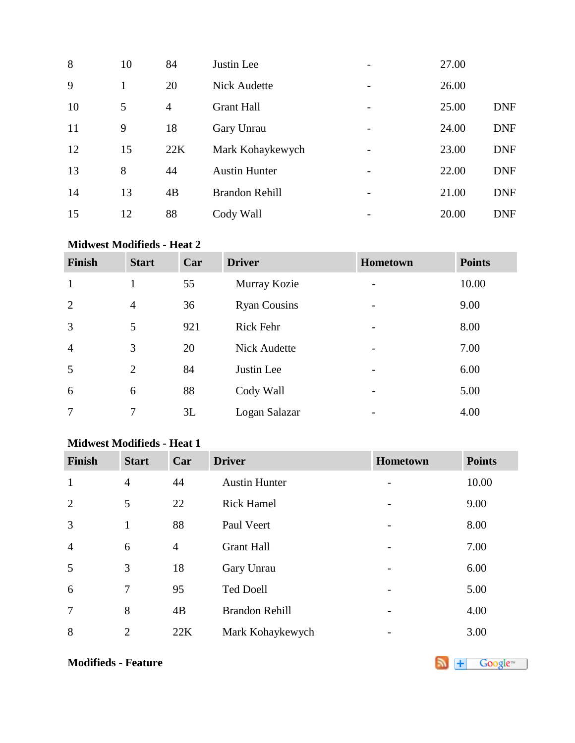| 8  | 10 | 84             | Justin Lee            |                          | 27.00 |            |
|----|----|----------------|-----------------------|--------------------------|-------|------------|
| 9  | 1  | 20             | <b>Nick Audette</b>   |                          | 26.00 |            |
| 10 | 5  | $\overline{4}$ | <b>Grant Hall</b>     | $\overline{a}$           | 25.00 | <b>DNF</b> |
| 11 | 9  | 18             | Gary Unrau            |                          | 24.00 | <b>DNF</b> |
| 12 | 15 | 22K            | Mark Kohaykewych      |                          | 23.00 | <b>DNF</b> |
| 13 | 8  | 44             | <b>Austin Hunter</b>  | $\overline{\phantom{0}}$ | 22.00 | <b>DNF</b> |
| 14 | 13 | 4B             | <b>Brandon Rehill</b> |                          | 21.00 | <b>DNF</b> |
| 15 | 12 | 88             | Cody Wall             |                          | 20.00 | <b>DNF</b> |

## **Midwest Modifieds - Heat 2**

| <b>Finish</b>  | <b>Start</b>   | Car | <b>Driver</b>       | Hometown                 | <b>Points</b> |
|----------------|----------------|-----|---------------------|--------------------------|---------------|
| $\mathbf{1}$   |                | 55  | Murray Kozie        |                          | 10.00         |
| $\overline{2}$ | $\overline{4}$ | 36  | <b>Ryan Cousins</b> |                          | 9.00          |
| $\overline{3}$ | 5              | 921 | Rick Fehr           |                          | 8.00          |
| $\overline{4}$ | 3              | 20  | <b>Nick Audette</b> |                          | 7.00          |
| 5              | 2              | 84  | Justin Lee          | $\overline{\phantom{a}}$ | 6.00          |
| 6              | 6              | 88  | Cody Wall           |                          | 5.00          |
| $\overline{7}$ | 7              | 3L  | Logan Salazar       |                          | 4.00          |

#### **Midwest Modifieds - Heat 1**

| <b>Finish</b>  | <b>Start</b>   | Car            | <b>Driver</b>         | Hometown                 | <b>Points</b> |
|----------------|----------------|----------------|-----------------------|--------------------------|---------------|
| $\mathbf{1}$   | $\overline{4}$ | 44             | <b>Austin Hunter</b>  | $\overline{a}$           | 10.00         |
| $\overline{2}$ | 5              | 22             | <b>Rick Hamel</b>     | $\overline{\phantom{m}}$ | 9.00          |
| 3              | $\mathbf{1}$   | 88             | Paul Veert            | $\overline{a}$           | 8.00          |
| $\overline{4}$ | 6              | $\overline{4}$ | <b>Grant Hall</b>     | $\overline{\phantom{0}}$ | 7.00          |
| 5              | 3              | 18             | Gary Unrau            | -                        | 6.00          |
| 6              | 7              | 95             | <b>Ted Doell</b>      | $\overline{\phantom{m}}$ | 5.00          |
| $\overline{7}$ | 8              | 4B             | <b>Brandon Rehill</b> |                          | 4.00          |
| 8              | $\overline{2}$ | 22K            | Mark Kohaykewych      |                          | 3.00          |

**Modifieds- Feature**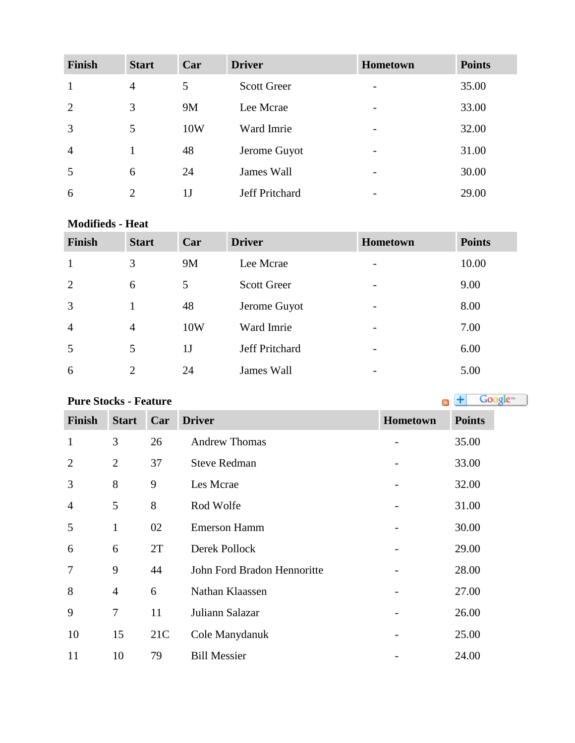| <b>Finish</b>  | <b>Start</b>   | Car | <b>Driver</b>         | Hometown | <b>Points</b> |
|----------------|----------------|-----|-----------------------|----------|---------------|
| $\mathbf{1}$   | $\overline{4}$ | 5   | <b>Scott Greer</b>    |          | 35.00         |
| 2              | 3              | 9M  | Lee Mcrae             | -        | 33.00         |
| $\overline{3}$ | 5              | 10W | Ward Imrie            | -        | 32.00         |
| $\overline{4}$ |                | 48  | Jerome Guyot          | -        | 31.00         |
| 5              | 6              | 24  | James Wall            | -        | 30.00         |
| 6              | 2              | 1 J | <b>Jeff Pritchard</b> |          | 29.00         |

#### **Modifieds - Heat**

| <b>Finish</b>  | <b>Start</b>                | Car            | <b>Driver</b>      | <b>Hometown</b>          | <b>Points</b> |
|----------------|-----------------------------|----------------|--------------------|--------------------------|---------------|
| 1              | 3                           | <b>9M</b>      | Lee Mcrae          | -                        | 10.00         |
| 2              | 6                           | 5              | <b>Scott Greer</b> | $\overline{\phantom{0}}$ | 9.00          |
| 3              |                             | 48             | Jerome Guyot       | -                        | 8.00          |
| $\overline{4}$ | $\overline{4}$              | 10W            | Ward Imrie         | $\overline{\phantom{0}}$ | 7.00          |
| 5              | 5                           | 1 <sub>J</sub> | Jeff Pritchard     | $\overline{\phantom{0}}$ | 6.00          |
| 6              | $\mathcal{D}_{\mathcal{L}}$ | 24             | James Wall         | -                        | 5.00          |

Google<sup>16</sup>

# **PureStocks - Feature**

**Finish Start Car Driver Hometown Points** 1 3 26 Andrew Thomas - 35.00 2 2 37 Steve Redman - 33.00 3 8 9 Les Mcrae - 32.00 5 8 Rod Wolfe - 31.00 1 02 Emerson Hamm - 30.00 6 2T Derek Pollock - 29.00 9 44 John Ford Bradon Hennoritte - 28.00 8 4 6 Nathan Klaassen - 27.00 7 11 Juliann Salazar - 26.00 15 21C Cole Manydanuk - 25.00 10 79 Bill Messier - 24.00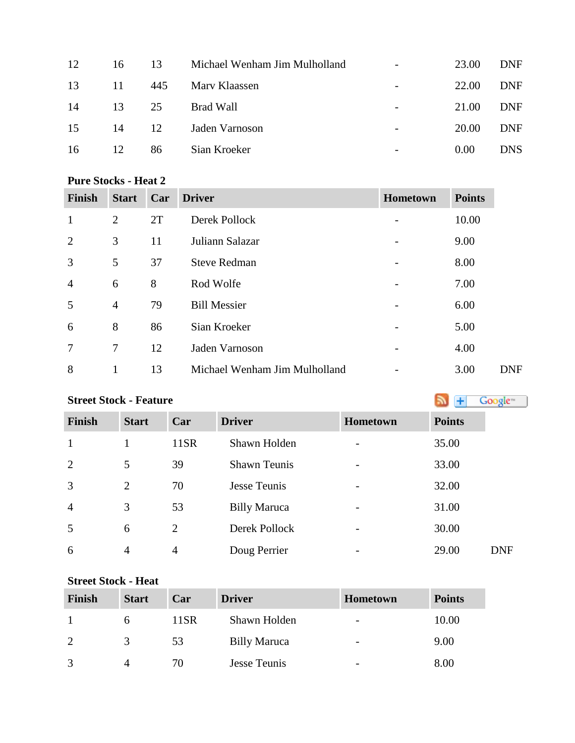| 12 | 16 | 13  | Michael Wenham Jim Mulholland | $\overline{\phantom{a}}$ | 23.00 | <b>DNF</b> |
|----|----|-----|-------------------------------|--------------------------|-------|------------|
| 13 | 11 | 445 | Mary Klaassen                 |                          | 22.00 | <b>DNF</b> |
| 14 | 13 | 25  | Brad Wall                     |                          | 21.00 | <b>DNF</b> |
| 15 | 14 | 12  | Jaden Varnoson                |                          | 20.00 | <b>DNF</b> |
| 16 | 12 | 86  | Sian Kroeker                  | $\overline{\phantom{0}}$ | 0.00  | <b>DNS</b> |
|    |    |     |                               |                          |       |            |

#### **Pure Stocks - Heat 2**

| <b>Finish</b>  | <b>Start</b>   | Car | <b>Driver</b>                 | <b>Hometown</b> | <b>Points</b> |
|----------------|----------------|-----|-------------------------------|-----------------|---------------|
| $\mathbf{1}$   | $\overline{2}$ | 2T  | Derek Pollock                 |                 | 10.00         |
| $\overline{2}$ | 3              | 11  | Juliann Salazar               |                 | 9.00          |
| 3              | 5              | 37  | <b>Steve Redman</b>           |                 | 8.00          |
| $\overline{4}$ | 6              | 8   | Rod Wolfe                     |                 | 7.00          |
| 5              | $\overline{4}$ | 79  | <b>Bill Messier</b>           |                 | 6.00          |
| 6              | 8              | 86  | Sian Kroeker                  |                 | 5.00          |
| 7              | $\tau$         | 12  | Jaden Varnoson                |                 | 4.00          |
| 8              | 1              | 13  | Michael Wenham Jim Mulholland |                 | 3.00          |

### **Street Stock - Feature**

Google<sup>16</sup> **Finish Start Car Driver Hometown Points** 1 11SR Shawn Holden - 35.00 2 5 39 Shawn Teunis - 33.00 2 70 Jesse Teunis - 32.00 4 3 53 Billy Maruca - 31.00 6 2 Derek Pollock - 30.00 4 4 Doug Perrier - 29.00 DNF

#### **Street Stock - Heat**

| Finish        | <b>Start</b>  | Car     | <b>Driver</b>       | <b>Hometown</b>          | <b>Points</b> |
|---------------|---------------|---------|---------------------|--------------------------|---------------|
|               |               | $11$ SR | Shawn Holden        | $\overline{\phantom{0}}$ | 10.00         |
| $\mathcal{D}$ | $\mathcal{Z}$ | 53      | <b>Billy Maruca</b> | -                        | 9.00          |
| $\mathcal{R}$ |               | 70      | <b>Jesse Teunis</b> | $\overline{\phantom{0}}$ | 8.00          |